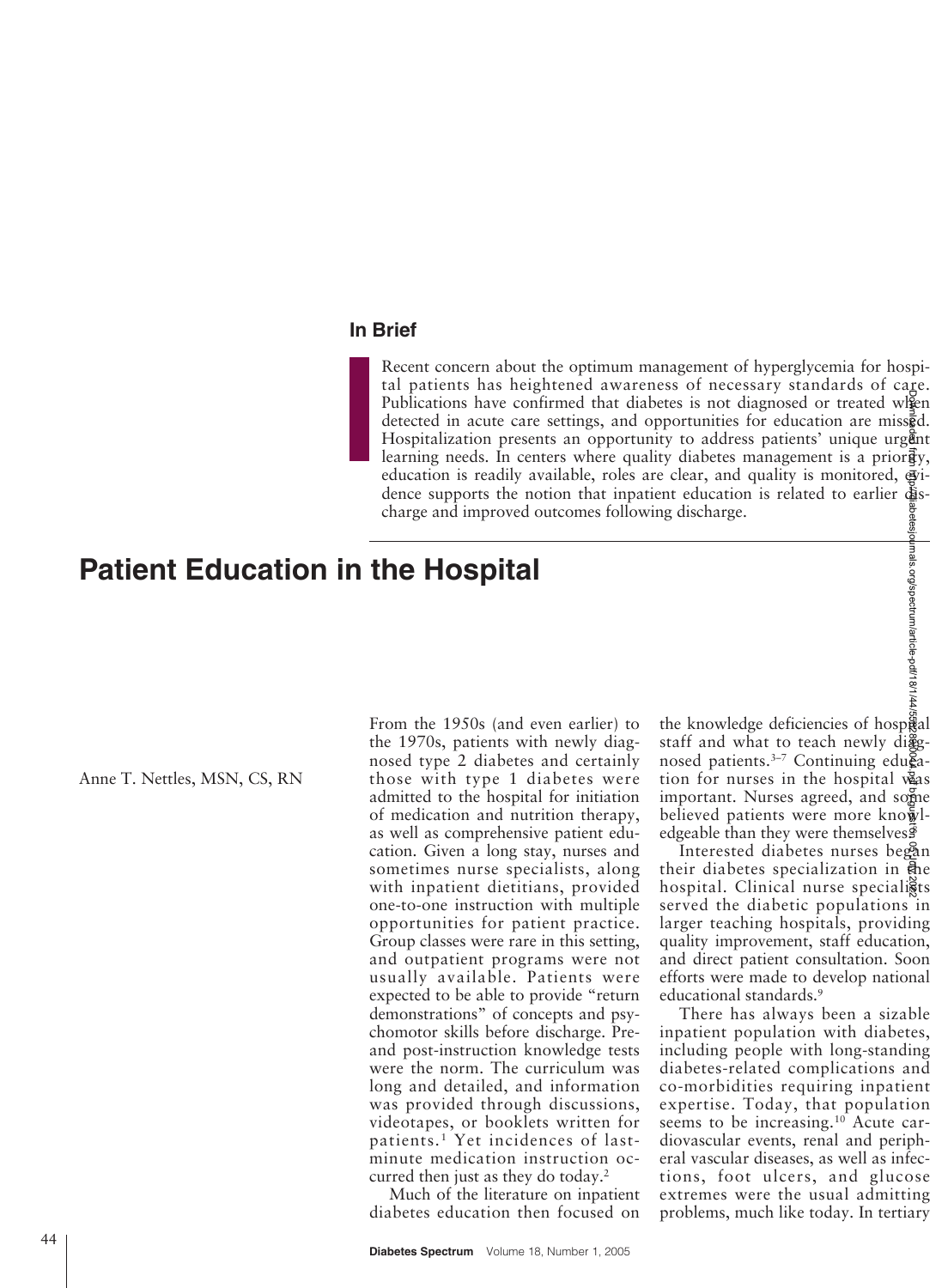# **In Brief**

Recent concern about the optimum management of hyperglycemia for hospital patients has heightened awareness of necessary standards of care. Publications have confirmed that diabetes is not diagnosed or treated when detected in acute care settings, and opportunities for education are missed. Hospitalization presents an opportunity to address patients' unique urgent learning needs. In centers where quality diabetes management is a prior $\vec{g}_y$ , education is readily available, roles are clear, and quality is monitored,  $\vec{g}$ dence supports the notion that inpatient education is related to earlier  $\ddot{\mathbf{a}}$  ischarge and improved outcomes following discharge.

# **Patient Education in the Hospital**

Anne T. Nettles, MSN, CS, RN

From the 1950s (and even earlier) to the 1970s, patients with newly diagnosed type 2 diabetes and certainly those with type 1 diabetes were admitted to the hospital for initiation of medication and nutrition therapy, as well as comprehensive patient education. Given a long stay, nurses and sometimes nurse specialists, along with inpatient dietitians, provided one-to-one instruction with multiple opportunities for patient practice. Group classes were rare in this setting, and outpatient programs were not usually available. Patients were expected to be able to provide "return demonstrations" of concepts and psychomotor skills before discharge. Preand post-instruction knowledge tests were the norm. The curriculum was long and detailed, and information was provided through discussions, videotapes, or booklets written for patients.1 Yet incidences of lastminute medication instruction occurred then just as they do today.2

Much of the literature on inpatient diabetes education then focused on the knowledge deficiencies of hospital staff and what to teach newly diggnosed patients.<sup>3-7</sup> Continuing edu $\tilde{\mathbf{g}}$ ation for nurses in the hospital vas important. Nurses agreed, and some believed patients were more knowledgeable than they were themselves. $\frac{3}{5}$ 

Interested diabetes nurses began their diabetes specialization in the hospital. Clinical nurse specialists served the diabetic populations in larger teaching hospitals, providing quality improvement, staff education, and direct patient consultation. Soon efforts were made to develop national educational standards.9

There has always been a sizable inpatient population with diabetes, including people with long-standing diabetes-related complications and co-morbidities requiring inpatient expertise. Today, that population seems to be increasing.<sup>10</sup> Acute cardiovascular events, renal and peripheral vascular diseases, as well as infections, foot ulcers, and glucose extremes were the usual admitting ettes is not diagnosed or treated wisen<br>poprtunities for education are missed.<br>ty to address partients' unique urgently<br>ty diabetes management is a priority,<br>electra, and quality is monitored, expectrant education is relat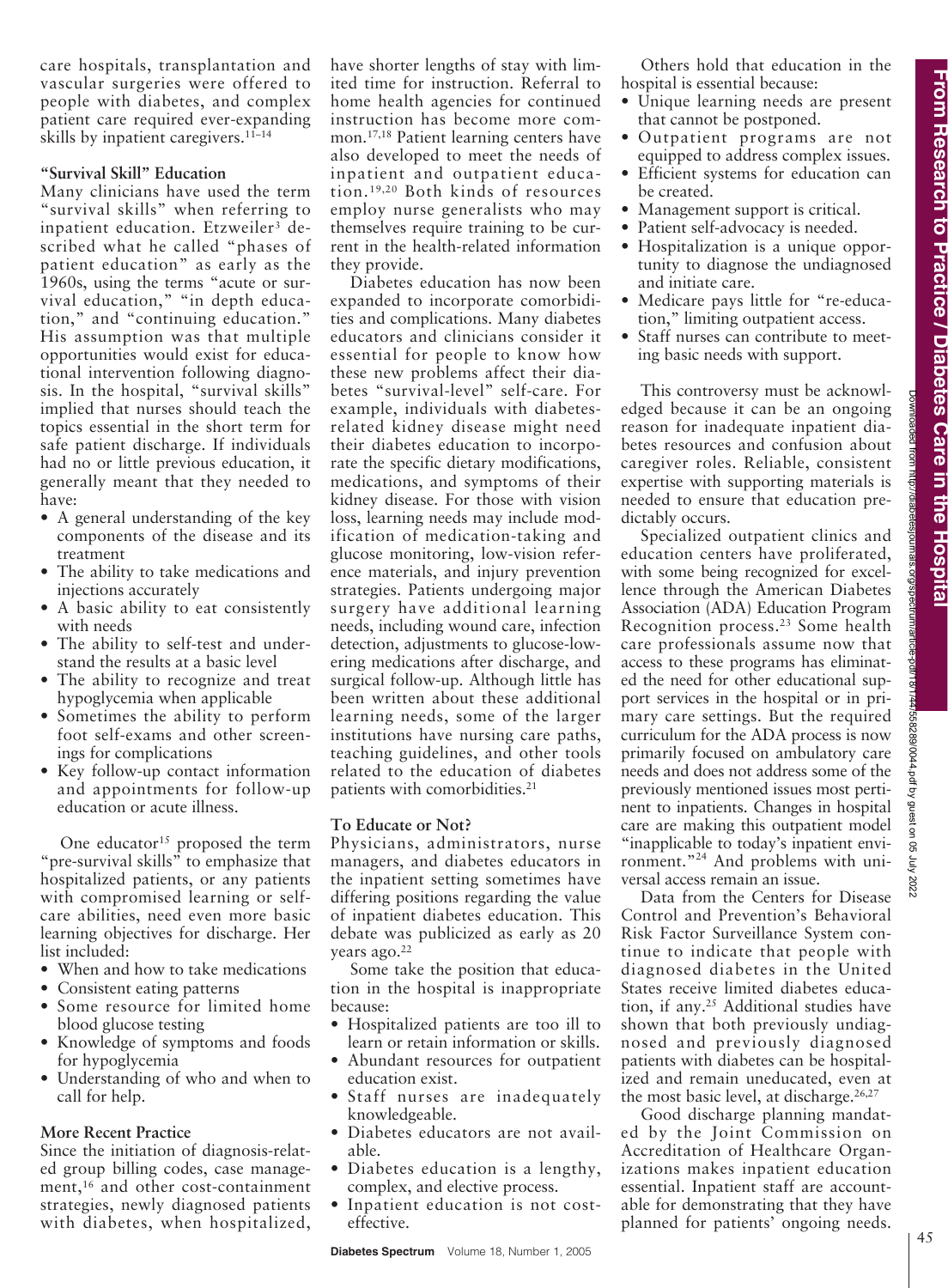Downloaded from http://diabetesjournals.org/spectrum/article-pdf/18/1/44/558289/0044.pdf by guest on 05 July 2022

558289/0044.pdf by guest on 05 July 2022

care hospitals, transplantation and vascular surgeries were offered to people with diabetes, and complex patient care required ever-expanding skills by inpatient caregivers.<sup>11–14</sup>

## **"Survival Skill" Education**

Many clinicians have used the term "survival skills" when referring to inpatient education. Etzweiler<sup>3</sup> described what he called "phases of patient education" as early as the 1960s, using the terms "acute or survival education," "in depth education," and "continuing education." His assumption was that multiple opportunities would exist for educational intervention following diagnosis. In the hospital, "survival skills" implied that nurses should teach the topics essential in the short term for safe patient discharge. If individuals had no or little previous education, it generally meant that they needed to have:

- A general understanding of the key components of the disease and its treatment
- The ability to take medications and injections accurately
- A basic ability to eat consistently with needs
- The ability to self-test and understand the results at a basic level
- The ability to recognize and treat hypoglycemia when applicable
- Sometimes the ability to perform foot self-exams and other screenings for complications
- Key follow-up contact information and appointments for follow-up education or acute illness.

One educator<sup>15</sup> proposed the term "pre-survival skills" to emphasize that hospitalized patients, or any patients with compromised learning or selfcare abilities, need even more basic learning objectives for discharge. Her list included:

- When and how to take medications
- Consistent eating patterns
- Some resource for limited home blood glucose testing
- Knowledge of symptoms and foods for hypoglycemia
- Understanding of who and when to call for help.

#### **More Recent Practice**

Since the initiation of diagnosis-related group billing codes, case management,<sup>16</sup> and other cost-containment strategies, newly diagnosed patients with diabetes, when hospitalized,

have shorter lengths of stay with limited time for instruction. Referral to home health agencies for continued instruction has become more common.17,18 Patient learning centers have also developed to meet the needs of inpatient and outpatient education.19,20 Both kinds of resources employ nurse generalists who may themselves require training to be current in the health-related information they provide.

Diabetes education has now been expanded to incorporate comorbidities and complications. Many diabetes educators and clinicians consider it essential for people to know how these new problems affect their diabetes "survival-level" self-care. For example, individuals with diabetesrelated kidney disease might need their diabetes education to incorporate the specific dietary modifications, medications, and symptoms of their kidney disease. For those with vision loss, learning needs may include modification of medication-taking and glucose monitoring, low-vision reference materials, and injury prevention strategies. Patients undergoing major surgery have additional learning needs, including wound care, infection detection, adjustments to glucose-lowering medications after discharge, and surgical follow-up. Although little has been written about these additional learning needs, some of the larger institutions have nursing care paths, teaching guidelines, and other tools related to the education of diabetes patients with comorbidities.<sup>21</sup>

## **To Educate or Not?**

Physicians, administrators, nurse managers, and diabetes educators in the inpatient setting sometimes have differing positions regarding the value of inpatient diabetes education. This debate was publicized as early as 20 years ago.<sup>22</sup>

Some take the position that education in the hospital is inappropriate because:

- Hospitalized patients are too ill to learn or retain information or skills.
- Abundant resources for outpatient education exist.
- Staff nurses are inadequately knowledgeable.
- Diabetes educators are not available.
- Diabetes education is a lengthy, complex, and elective process.
- Inpatient education is not costeffective.

Others hold that education in the hospital is essential because:

- Unique learning needs are present that cannot be postponed.
- Outpatient programs are not equipped to address complex issues.
- Efficient systems for education can be created.
- Management support is critical.
- Patient self-advocacy is needed.
- Hospitalization is a unique opportunity to diagnose the undiagnosed and initiate care.
- Medicare pays little for "re-education," limiting outpatient access.
- Staff nurses can contribute to meeting basic needs with support.

This controversy must be acknowledged because it can be an ongoing reason for inadequate inpatient diabetes resources and confusion about caregiver roles. Reliable, consistent expertise with supporting materials is needed to ensure that education predictably occurs.

Specialized outpatient clinics and education centers have proliferated, with some being recognized for excellence through the American Diabetes Association (ADA) Education Program Recognition process.23 Some health care professionals assume now that access to these programs has eliminated the need for other educational support services in the hospital or in primary care settings. But the required curriculum for the ADA process is now primarily focused on ambulatory care needs and does not address some of the previously mentioned issues most pertinent to inpatients. Changes in hospital care are making this outpatient model "inapplicable to today's inpatient environment."24 And problems with universal access remain an issue.

Data from the Centers for Disease Control and Prevention's Behavioral Risk Factor Surveillance System continue to indicate that people with diagnosed diabetes in the United States receive limited diabetes education, if any.<sup>25</sup> Additional studies have shown that both previously undiagnosed and previously diagnosed patients with diabetes can be hospitalized and remain uneducated, even at the most basic level, at discharge.<sup>26,27</sup>

Good discharge planning mandated by the Joint Commission on Accreditation of Healthcare Organizations makes inpatient education essential. Inpatient staff are accountable for demonstrating that they have planned for patients' ongoing needs.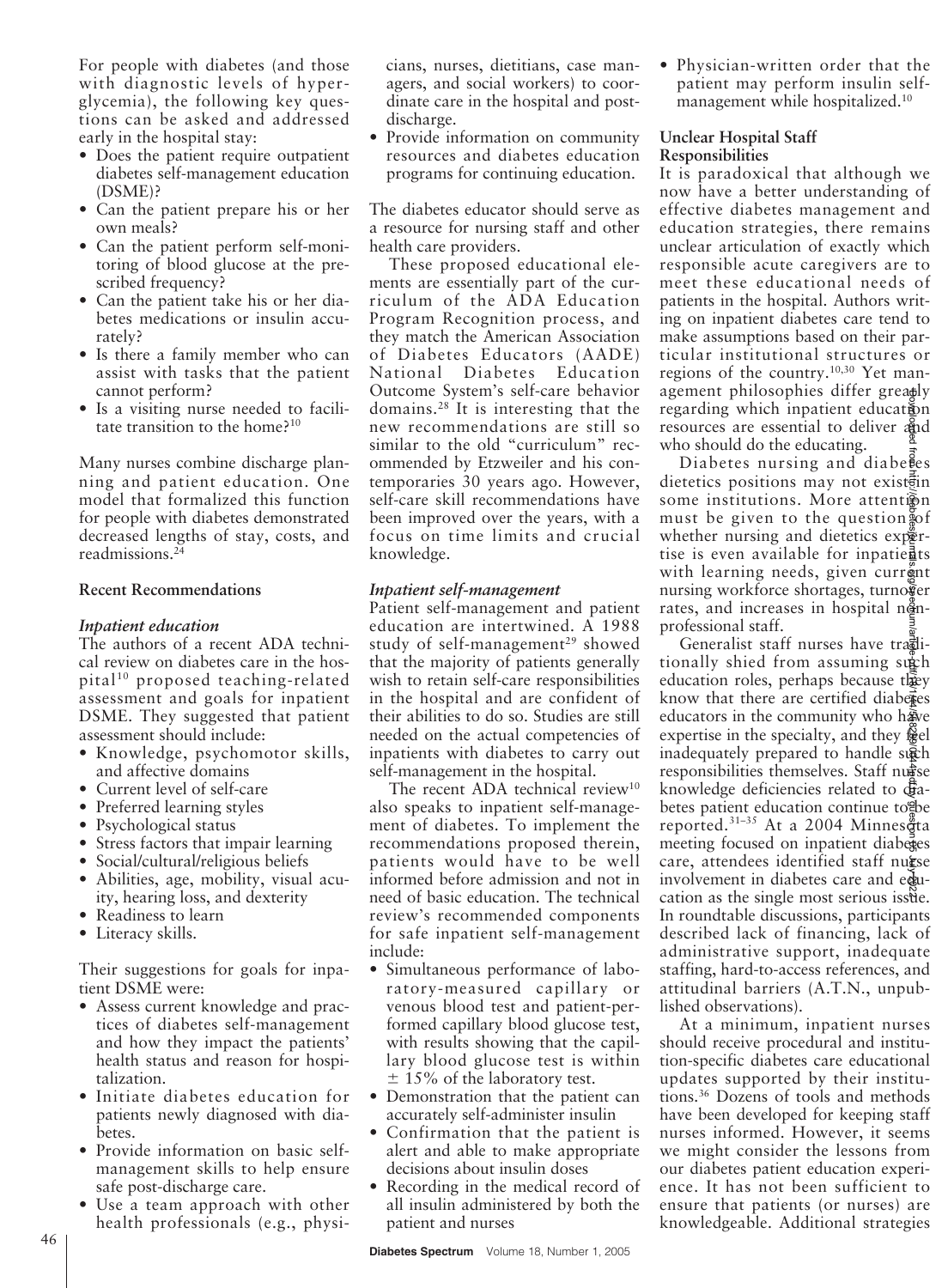For people with diabetes (and those with diagnostic levels of hyperglycemia), the following key questions can be asked and addressed early in the hospital stay:

- Does the patient require outpatient diabetes self-management education (DSME)?
- Can the patient prepare his or her own meals?
- Can the patient perform self-monitoring of blood glucose at the prescribed frequency?
- Can the patient take his or her diabetes medications or insulin accurately?
- Is there a family member who can assist with tasks that the patient cannot perform?
- Is a visiting nurse needed to facilitate transition to the home?<sup>10</sup>

Many nurses combine discharge planning and patient education. One model that formalized this function for people with diabetes demonstrated decreased lengths of stay, costs, and readmissions.24

## **Recent Recommendations**

## *Inpatient education*

The authors of a recent ADA technical review on diabetes care in the hospital $10$  proposed teaching-related assessment and goals for inpatient DSME. They suggested that patient assessment should include:

- Knowledge, psychomotor skills, and affective domains
- Current level of self-care
- Preferred learning styles
- Psychological status
- Stress factors that impair learning
- Social/cultural/religious beliefs
- Abilities, age, mobility, visual acuity, hearing loss, and dexterity
- Readiness to learn
- Literacy skills.

Their suggestions for goals for inpatient DSME were:

- Assess current knowledge and practices of diabetes self-management and how they impact the patients' health status and reason for hospitalization.
- Initiate diabetes education for patients newly diagnosed with diabetes.
- Provide information on basic selfmanagement skills to help ensure safe post-discharge care.
- Use a team approach with other health professionals (e.g., physi-

cians, nurses, dietitians, case managers, and social workers) to coordinate care in the hospital and postdischarge.

• Provide information on community resources and diabetes education programs for continuing education.

The diabetes educator should serve as a resource for nursing staff and other health care providers.

These proposed educational elements are essentially part of the curriculum of the ADA Education Program Recognition process, and they match the American Association of Diabetes Educators (AADE) National Diabetes Education Outcome System's self-care behavior domains.28 It is interesting that the new recommendations are still so similar to the old "curriculum" recommended by Etzweiler and his contemporaries 30 years ago. However, self-care skill recommendations have been improved over the years, with a focus on time limits and crucial knowledge.

#### *Inpatient self-management*

Patient self-management and patient education are intertwined. A 1988 study of self-management<sup>29</sup> showed that the majority of patients generally wish to retain self-care responsibilities in the hospital and are confident of their abilities to do so. Studies are still needed on the actual competencies of inpatients with diabetes to carry out self-management in the hospital.

The recent ADA technical review<sup>10</sup> also speaks to inpatient self-management of diabetes. To implement the recommendations proposed therein, patients would have to be well informed before admission and not in need of basic education. The technical review's recommended components for safe inpatient self-management include:

- Simultaneous performance of laboratory-measured capillary or venous blood test and patient-performed capillary blood glucose test, with results showing that the capillary blood glucose test is within  $\pm$  15% of the laboratory test.
- Demonstration that the patient can accurately self-administer insulin
- Confirmation that the patient is alert and able to make appropriate decisions about insulin doses
- Recording in the medical record of all insulin administered by both the patient and nurses

• Physician-written order that the patient may perform insulin selfmanagement while hospitalized.<sup>10</sup>

## **Unclear Hospital Staff Responsibilities**

It is paradoxical that although we now have a better understanding of effective diabetes management and education strategies, there remains unclear articulation of exactly which responsible acute caregivers are to meet these educational needs of patients in the hospital. Authors writing on inpatient diabetes care tend to make assumptions based on their particular institutional structures or regions of the country.10,30 Yet management philosophies differ greatly regarding which inpatient education resources are essential to deliver and who should do the educating.

Diabetes nursing and diaberes dietetics positions may not existen some institutions. More attention must be given to the question of whether nursing and dietetics expertise is even available for inpatie $\frac{3}{2}$ ts with learning needs, given current nursing workforce shortages, turnower rates, and increases in hospital  $n\ddot{q}n$ professional staff.

Generalist staff nurses have traditionally shied from assuming such education roles, perhaps because they know that there are certified diabertes educators in the community who have expertise in the specialty, and they  $\ddot{\mathbb{R}}$ el inadequately prepared to handle such responsibilities themselves. Staff nurse knowledge deficiencies related to diabetes patient education continue to be reported. $31-35$  At a 2004 Minnes  $\ddot{\tilde{g}}$ ta meeting focused on inpatient diabetes care, attendees identified staff nurse involvement in diabetes care and education as the single most serious issue. In roundtable discussions, participants described lack of financing, lack of administrative support, inadequate staffing, hard-to-access references, and attitudinal barriers (A.T.N., unpublished observations). gegarding which inputsoppines unter greating which inpatient education<br>regarding which inpatient educations<br>resources are essential to deliver and<br>download on the clucations. More attentigion<br>differences positions may not

At a minimum, inpatient nurses should receive procedural and institution-specific diabetes care educational updates supported by their institutions.36 Dozens of tools and methods have been developed for keeping staff nurses informed. However, it seems we might consider the lessons from our diabetes patient education experience. It has not been sufficient to ensure that patients (or nurses) are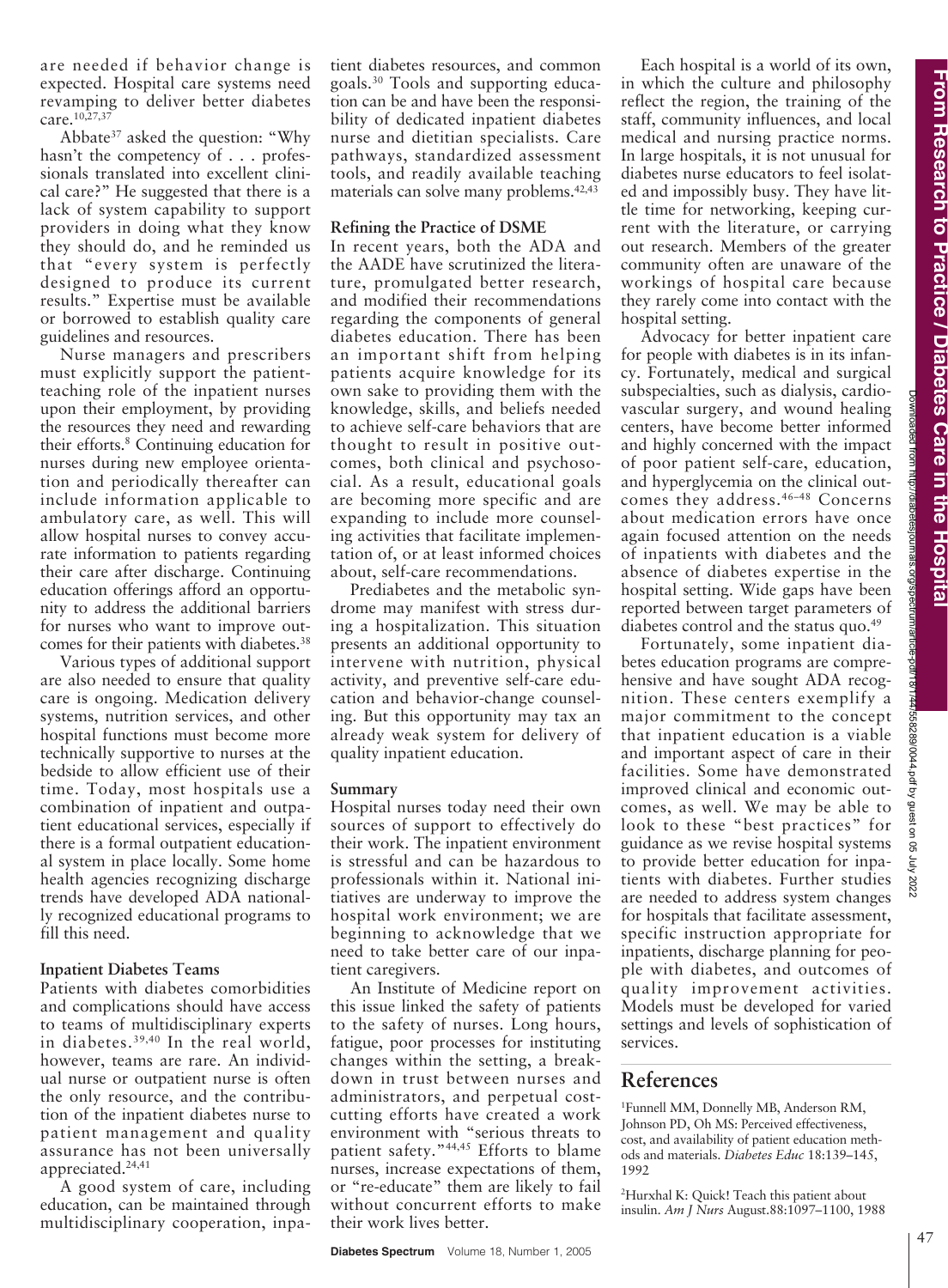Downloaded from http://diabetesjournals.org/spectrum/article-pdf/18/1/44/558289/0044.pdf by guest on 05 July 2022

558289/0044.pdf by guest on 05

are needed if behavior change is expected. Hospital care systems need revamping to deliver better diabetes care.<sup>10,27,37</sup>

Abbate37 asked the question: "Why hasn't the competency of . . . professionals translated into excellent clinical care?" He suggested that there is a lack of system capability to support providers in doing what they know they should do, and he reminded us that "every system is perfectly designed to produce its current results." Expertise must be available or borrowed to establish quality care guidelines and resources.

Nurse managers and prescribers must explicitly support the patientteaching role of the inpatient nurses upon their employment, by providing the resources they need and rewarding their efforts.8 Continuing education for nurses during new employee orientation and periodically thereafter can include information applicable to ambulatory care, as well. This will allow hospital nurses to convey accurate information to patients regarding their care after discharge. Continuing education offerings afford an opportunity to address the additional barriers for nurses who want to improve outcomes for their patients with diabetes.38

Various types of additional support are also needed to ensure that quality care is ongoing. Medication delivery systems, nutrition services, and other hospital functions must become more technically supportive to nurses at the bedside to allow efficient use of their time. Today, most hospitals use a combination of inpatient and outpatient educational services, especially if there is a formal outpatient educational system in place locally. Some home health agencies recognizing discharge trends have developed ADA nationally recognized educational programs to fill this need.

#### **Inpatient Diabetes Teams**

Patients with diabetes comorbidities and complications should have access to teams of multidisciplinary experts in diabetes.39,40 In the real world, however, teams are rare. An individual nurse or outpatient nurse is often the only resource, and the contribution of the inpatient diabetes nurse to patient management and quality assurance has not been universally appreciated.<sup>24,41</sup>

A good system of care, including education, can be maintained through multidisciplinary cooperation, inpatient diabetes resources, and common goals.30 Tools and supporting education can be and have been the responsibility of dedicated inpatient diabetes nurse and dietitian specialists. Care pathways, standardized assessment tools, and readily available teaching materials can solve many problems.<sup>42,43</sup>

#### **Refining the Practice of DSME**

In recent years, both the ADA and the AADE have scrutinized the literature, promulgated better research, and modified their recommendations regarding the components of general diabetes education. There has been an important shift from helping patients acquire knowledge for its own sake to providing them with the knowledge, skills, and beliefs needed to achieve self-care behaviors that are thought to result in positive outcomes, both clinical and psychosocial. As a result, educational goals are becoming more specific and are expanding to include more counseling activities that facilitate implementation of, or at least informed choices about, self-care recommendations.

Prediabetes and the metabolic syndrome may manifest with stress during a hospitalization. This situation presents an additional opportunity to intervene with nutrition, physical activity, and preventive self-care education and behavior-change counseling. But this opportunity may tax an already weak system for delivery of quality inpatient education.

#### **Summary**

Hospital nurses today need their own sources of support to effectively do their work. The inpatient environment is stressful and can be hazardous to professionals within it. National initiatives are underway to improve the hospital work environment; we are beginning to acknowledge that we need to take better care of our inpatient caregivers.

An Institute of Medicine report on this issue linked the safety of patients to the safety of nurses. Long hours, fatigue, poor processes for instituting changes within the setting, a breakdown in trust between nurses and administrators, and perpetual costcutting efforts have created a work environment with "serious threats to patient safety."<sup>44,45</sup> Efforts to blame nurses, increase expectations of them, or "re-educate" them are likely to fail without concurrent efforts to make their work lives better.

Each hospital is a world of its own, in which the culture and philosophy reflect the region, the training of the staff, community influences, and local medical and nursing practice norms. In large hospitals, it is not unusual for diabetes nurse educators to feel isolated and impossibly busy. They have little time for networking, keeping current with the literature, or carrying out research. Members of the greater community often are unaware of the workings of hospital care because they rarely come into contact with the hospital setting.

Advocacy for better inpatient care for people with diabetes is in its infancy. Fortunately, medical and surgical subspecialties, such as dialysis, cardiovascular surgery, and wound healing centers, have become better informed and highly concerned with the impact of poor patient self-care, education, and hyperglycemia on the clinical outcomes they address.46–48 Concerns about medication errors have once again focused attention on the needs of inpatients with diabetes and the absence of diabetes expertise in the hospital setting. Wide gaps have been reported between target parameters of diabetes control and the status quo.<sup>49</sup>

Fortunately, some inpatient diabetes education programs are comprehensive and have sought ADA recognition. These centers exemplify a major commitment to the concept that inpatient education is a viable and important aspect of care in their facilities. Some have demonstrated improved clinical and economic outcomes, as well. We may be able to look to these "best practices" for guidance as we revise hospital systems to provide better education for inpatients with diabetes. Further studies are needed to address system changes for hospitals that facilitate assessment, specific instruction appropriate for inpatients, discharge planning for people with diabetes, and outcomes of quality improvement activities. Models must be developed for varied settings and levels of sophistication of services.

# **References**

1 Funnell MM, Donnelly MB, Anderson RM, Johnson PD, Oh MS: Perceived effectiveness, cost, and availability of patient education methods and materials. *Diabetes Educ* 18:139–145, 1992

2 Hurxhal K: Quick! Teach this patient about insulin. *Am J Nurs* August.88:1097–1100, 1988